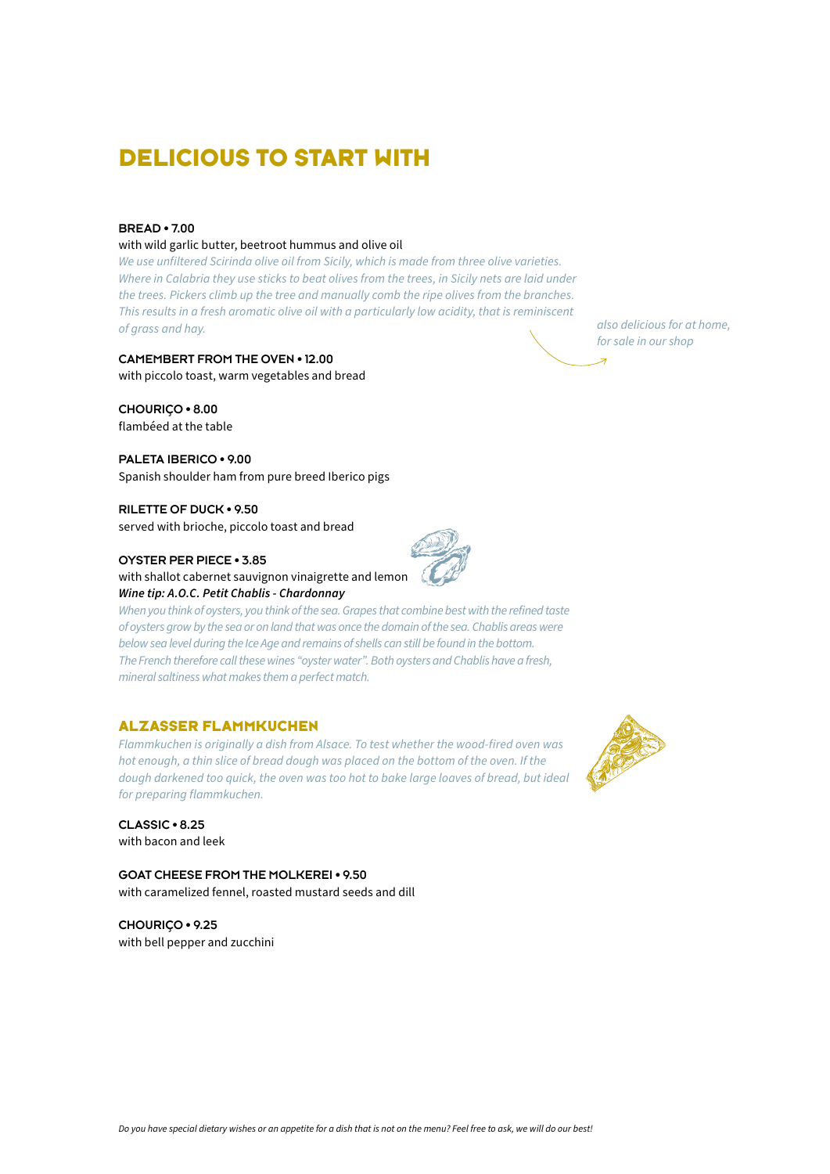# **DELICIOUS TO START WITH**

#### **BREAD • 7.00**

#### with wild garlic butter, beetroot hummus and olive oil

*We use unfiltered Scirinda olive oil from Sicily, which is made from three olive varieties. Where in Calabria they use sticks to beat olives from the trees, in Sicily nets are laid under the trees. Pickers climb up the tree and manually comb the ripe olives from the branches. This results in a fresh aromatic olive oil with a particularly low acidity, that is reminiscent of grass and hay.*

**CAMEMBERT FROM THE OVEN • 12.00** with piccolo toast, warm vegetables and bread

**CHOURIÇO • 8.00** flambéed at the table

**PALETA IBERICO • 9.00** Spanish shoulder ham from pure breed Iberico pigs

**RILETTE OF DUCK • 9.50** served with brioche, piccolo toast and bread

**OYSTER PER PIECE • 3.85**

with shallot cabernet sauvignon vinaigrette and lemon *Wine tip: A.O.C. Petit Chablis - Chardonnay*

*When you think of oysters, you think of the sea. Grapes that combine best with the refined taste of oysters grow by the sea or on land that was once the domain of the sea. Chablis areas were below sea level during the Ice Age and remains of shells can still be found in the bottom. The French therefore call these wines "oyster water". Both oysters and Chablis have a fresh, mineral saltiness what makes them a perfect match.* 

### **ALZASSER FLAMMKUCHEN**

*Flammkuchen is originally a dish from Alsace. To test whether the wood-fired oven was hot enough, a thin slice of bread dough was placed on the bottom of the oven. If the dough darkened too quick, the oven was too hot to bake large loaves of bread, but ideal for preparing flammkuchen.*

**CLASSIC • 8.25**  with bacon and leek

**GOAT CHEESE FROM THE MOLKEREI • 9.50**  with caramelized fennel, roasted mustard seeds and dill

**CHOURIÇO • 9.25** with bell pepper and zucchini





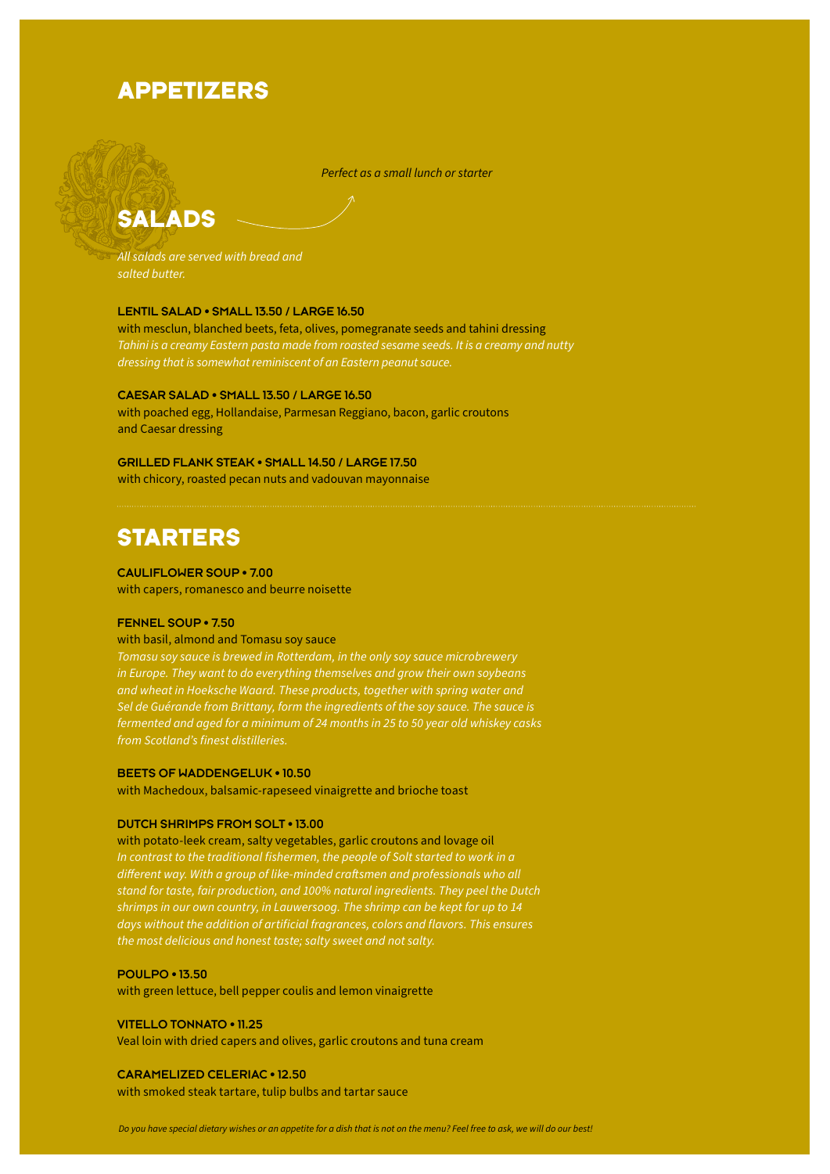# **APPETIZERS**

*Perfect as a small lunch or starter*

# **SALADS**

*All salads are served with bread and salted butter.*

#### **LENTIL SALAD • SMALL 13.50 / LARGE 16.50**

with mesclun, blanched beets, feta, olives, pomegranate seeds and tahini dressing *Tahini is a creamy Eastern pasta made from roasted sesame seeds. It is a creamy and nutty dressing that is somewhat reminiscent of an Eastern peanut sauce.* 

#### **CAESAR SALAD • SMALL 13.50 / LARGE 16.50**

with poached egg, Hollandaise, Parmesan Reggiano, bacon, garlic croutons and Caesar dressing

#### **GRILLED FLANK STEAK • SMALL 14.50 / LARGE 17.50**

with chicory, roasted pecan nuts and vadouvan mayonnaise

# **STARTERS**

#### **CAULIFLOWER SOUP • 7.00**

with capers, romanesco and beurre noisette

#### **FENNEL SOUP • 7.50**

#### with basil, almond and Tomasu soy sauce

*Tomasu soy sauce is brewed in Rotterdam, in the only soy sauce microbrewery in Europe. They want to do everything themselves and grow their own soybeans and wheat in Hoeksche Waard. These products, together with spring water and Sel de Guérande from Brittany, form the ingredients of the soy sauce. The sauce is fermented and aged for a minimum of 24 months in 25 to 50 year old whiskey casks from Scotland's finest distilleries.*

#### **BEETS OF WADDENGELUK • 10.50**

with Machedoux, balsamic-rapeseed vinaigrette and brioche toast

#### **DUTCH SHRIMPS FROM SOLT • 13.00**

with potato-leek cream, salty vegetables, garlic croutons and lovage oil *In contrast to the traditional fishermen, the people of Solt started to work in a different way. With a group of like-minded craftsmen and professionals who all stand for taste, fair production, and 100% natural ingredients. They peel the Dutch shrimps in our own country, in Lauwersoog. The shrimp can be kept for up to 14 days without the addition of artificial fragrances, colors and flavors. This ensures the most delicious and honest taste; salty sweet and not salty.*

#### **POULPO • 13.50**

with green lettuce, bell pepper coulis and lemon vinaigrette

#### **VITELLO TONNATO • 11.25**

Veal loin with dried capers and olives, garlic croutons and tuna cream

#### **CARAMELIZED CELERIAC • 12.50**

with smoked steak tartare, tulip bulbs and tartar sauce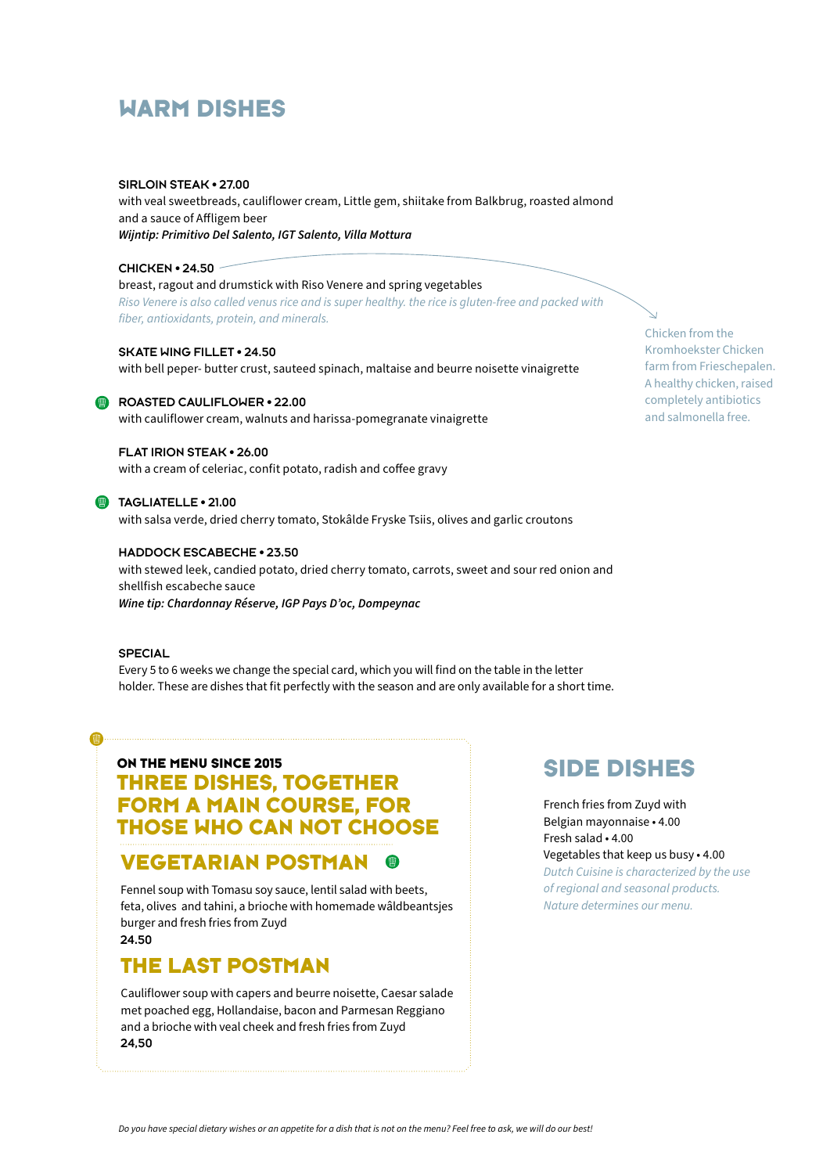# **WARM DISHES**

#### **SIRLOIN STEAK • 27.00**

with veal sweetbreads, cauliflower cream, Little gem, shiitake from Balkbrug, roasted almond and a sauce of Affligem beer *Wijntip: Primitivo Del Salento, IGT Salento, Villa Mottura*

#### **CHICKEN • 24.50**

breast, ragout and drumstick with Riso Venere and spring vegetables *Riso Venere is also called venus rice and is super healthy. the rice is gluten-free and packed with fiber, antioxidants, protein, and minerals.* 

#### **SKATE WING FILLET • 24.50**

with bell peper- butter crust, sauteed spinach, maltaise and beurre noisette vinaigrette

#### **ROASTED CAULIFLOWER • 22.00**

with cauliflower cream, walnuts and harissa-pomegranate vinaigrette

### **FLAT IRION STEAK • 26.00**

with a cream of celeriac, confit potato, radish and coffee gravy

#### **TAGLIATELLE • 21.00**

with salsa verde, dried cherry tomato, Stokâlde Fryske Tsiis, olives and garlic croutons

#### **HADDOCK ESCABECHE • 23.50**

with stewed leek, candied potato, dried cherry tomato, carrots, sweet and sour red onion and shellfish escabeche sauce *Wine tip: Chardonnay Réserve, IGP Pays D'oc, Dompeynac*

#### **SPECIAL**

 $\blacksquare$ 

Every 5 to 6 weeks we change the special card, which you will find on the table in the letter holder. These are dishes that fit perfectly with the season and are only available for a short time.

## **ON THE MENU SINCE 2015 THREE DISHES, TOGETHER FORM A MAIN COURSE, FOR THOSE WHO CAN NOT CHOOSE**

## **VEGETARIAN POSTMAN**

Fennel soup with Tomasu soy sauce, lentil salad with beets, feta, olives and tahini, a brioche with homemade wâldbeantsjes burger and fresh fries from Zuyd **24.50**

## **THE LAST POSTMAN**

Cauliflower soup with capers and beurre noisette, Caesar salade met poached egg, Hollandaise, bacon and Parmesan Reggiano and a brioche with veal cheek and fresh fries from Zuyd **24,50**

# **SIDE DISHES**

French fries from Zuyd with Belgian mayonnaise • 4.00 Fresh salad • 4.00 Vegetables that keep us busy • 4.00 *Dutch Cuisine is characterized by the use of regional and seasonal products. Nature determines our menu.* 

Chicken from the Kromhoekster Chicken farm from Frieschepalen. A healthy chicken, raised completely antibiotics and salmonella free.